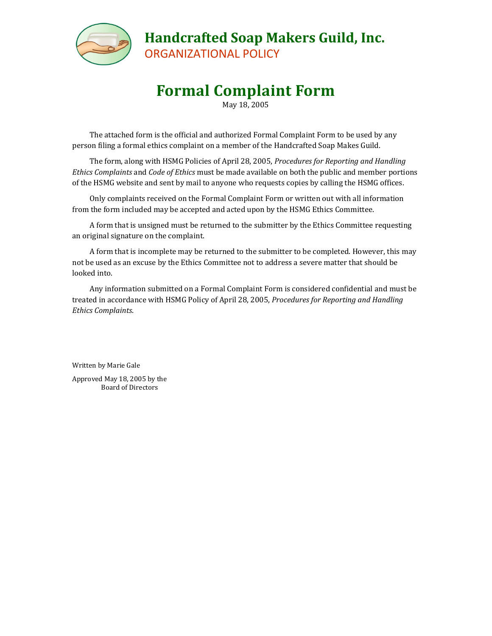

**Handcrafted Soap Makers Guild, Inc.** ORGANIZATIONAL POLICY

# **Formal Complaint Form**

May 18, 2005

The attached form is the official and authorized Formal Complaint Form to be used by any person filing a formal ethics complaint on a member of the Handcrafted Soap Makes Guild.

The form, along with HSMG Policies of April 28, 2005, *Procedures for Reporting and Handling Ethics Complaints* and *Code of Ethics* must be made available on both the public and member portions of the HSMG website and sent by mail to anyone who requests copies by calling the HSMG offices.

Only complaints received on the Formal Complaint Form or written out with all information from the form included may be accepted and acted upon by the HSMG Ethics Committee.

A form that is unsigned must be returned to the submitter by the Ethics Committee requesting an original signature on the complaint.

A form that is incomplete may be returned to the submitter to be completed. However, this may not be used as an excuse by the Ethics Committee not to address a severe matter that should be looked into.

Any information submitted on a Formal Complaint Form is considered confidential and must be treated in accordance with HSMG Policy of April 28, 2005, *Procedures for Reporting and Handling Ethics Complaints*.

Written by Marie Gale Approved May 18, 2005 by the Board of Directors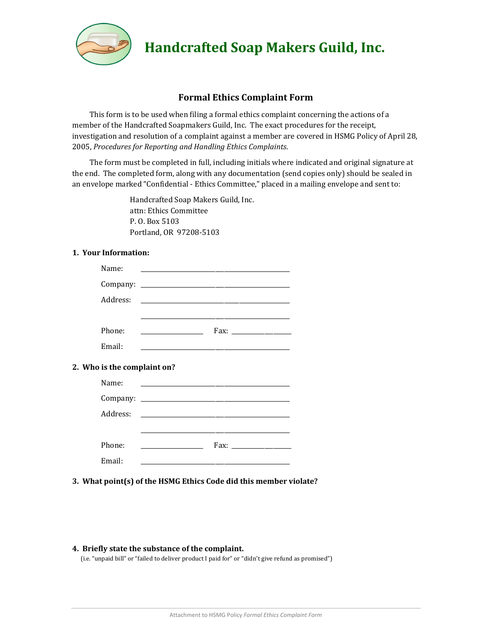

## **Handcrafted Soap Makers Guild, Inc.**

### **Formal Ethics Complaint Form**

This form is to be used when filing a formal ethics complaint concerning the actions of a member of the Handcrafted Soapmakers Guild, Inc. The exact procedures for the receipt, investigation and resolution of a complaint against a member are covered in HSMG Policy of April 28, 2005, *Procedures for Reporting and Handling Ethics Complaints*.

The form must be completed in full, including initials where indicated and original signature at the end. The completed form, along with any documentation (send copies only) should be sealed in an envelope marked "Confidential - Ethics Committee," placed in a mailing envelope and sent to:

> Handcrafted Soap Makers Guild, Inc. attn: Ethics Committee P. O. Box 5103 Portland, OR 97208-5103

#### **1. Your Information:**

| Name:                       | <u> 1989 - Johann Barbara, martin amerikan basal dan berasal dan berasal dalam basal dalam basal dan berasal dan</u> |
|-----------------------------|----------------------------------------------------------------------------------------------------------------------|
|                             |                                                                                                                      |
| Address:                    | and the control of the control of the control of the control of the control of the control of                        |
|                             | <u> 1989 - John Stone, Amerikaansk politiker (* 1908)</u>                                                            |
| Phone:                      |                                                                                                                      |
| Email:                      | the contract of the contract of the contract of the contract of the contract of the contract of                      |
| 2. Who is the complaint on? |                                                                                                                      |
| Name:                       |                                                                                                                      |
|                             |                                                                                                                      |
|                             |                                                                                                                      |
|                             |                                                                                                                      |
| Phone:                      | <u> 1990 - Johann Barbara, martxa a</u>                                                                              |
|                             |                                                                                                                      |

**3. What point(s) of the HSMG Ethics Code did this member violate?**

#### **4. Briefly state the substance of the complaint.**

(i.e. "unpaid bill" or "failed to deliver product I paid for" or "didn't give refund as promised")